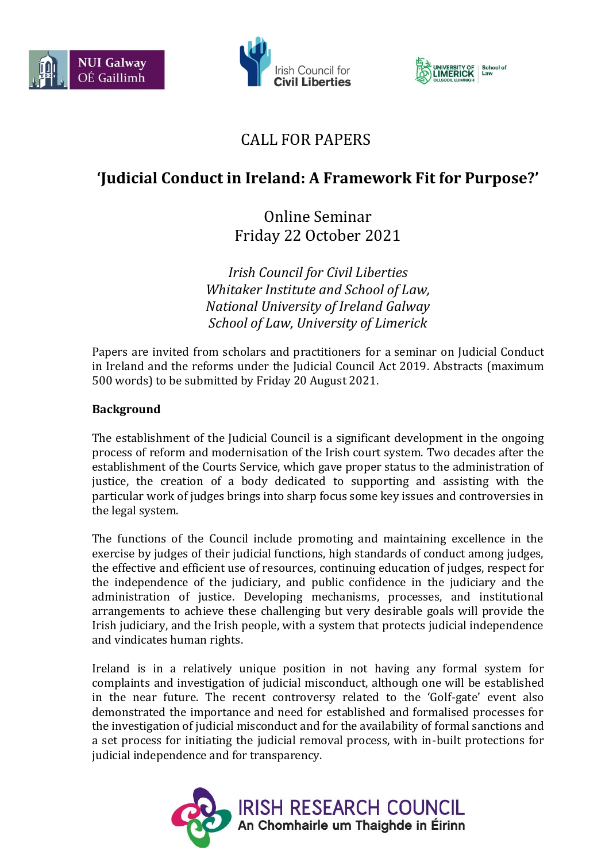





## CALL FOR PAPERS

# **'Judicial Conduct in Ireland: A Framework Fit for Purpose?'**

Online Seminar Friday 22 October 2021

*Irish Council for Civil Liberties Whitaker Institute and School of Law, National University of Ireland Galway School of Law, University of Limerick*

Papers are invited from scholars and practitioners for a seminar on Judicial Conduct in Ireland and the reforms under the Judicial Council Act 2019. Abstracts (maximum 500 words) to be submitted by Friday 20 August 2021.

### **Background**

The establishment of the Judicial Council is a significant development in the ongoing process of reform and modernisation of the Irish court system. Two decades after the establishment of the Courts Service, which gave proper status to the administration of justice, the creation of a body dedicated to supporting and assisting with the particular work of judges brings into sharp focus some key issues and controversies in the legal system.

The functions of the Council include promoting and maintaining excellence in the exercise by judges of their judicial functions, high standards of conduct among judges, the effective and efficient use of resources, continuing education of judges, respect for the independence of the judiciary, and public confidence in the judiciary and the administration of justice. Developing mechanisms, processes, and institutional arrangements to achieve these challenging but very desirable goals will provide the Irish judiciary, and the Irish people, with a system that protects judicial independence and vindicates human rights.

Ireland is in a relatively unique position in not having any formal system for complaints and investigation of judicial misconduct, although one will be established in the near future. The recent controversy related to the 'Golf-gate' event also demonstrated the importance and need for established and formalised processes for the investigation of judicial misconduct and for the availability of formal sanctions and a set process for initiating the judicial removal process, with in-built protections for judicial independence and for transparency.